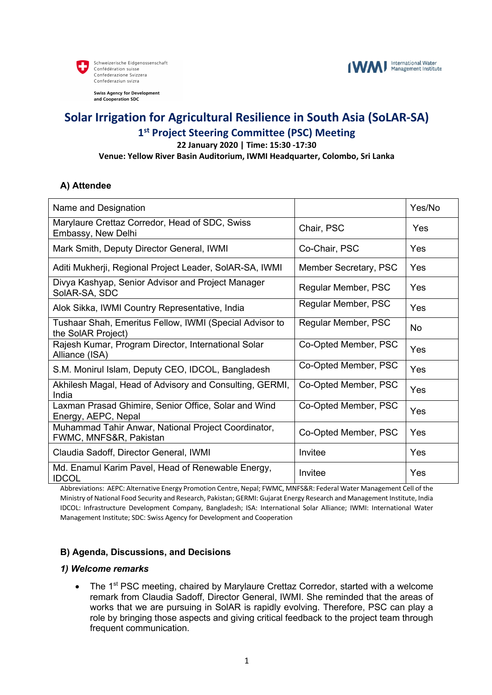



#### **Swiss Agency for Development** and Cooperation SDC

# **Solar Irrigation for Agricultural Resilience in South Asia (SoLAR-SA) 1st Project Steering Committee (PSC) Meeting**

**22 January 2020 | Time: 15:30 -17:30**

**Venue: Yellow River Basin Auditorium, IWMI Headquarter, Colombo, Sri Lanka**

# **A) Attendee**

| Name and Designation                                                          |                       | Yes/No |
|-------------------------------------------------------------------------------|-----------------------|--------|
| Marylaure Crettaz Corredor, Head of SDC, Swiss<br>Embassy, New Delhi          | Chair, PSC            | Yes    |
| Mark Smith, Deputy Director General, IWMI                                     | Co-Chair, PSC         | Yes    |
| Aditi Mukherji, Regional Project Leader, SoIAR-SA, IWMI                       | Member Secretary, PSC | Yes    |
| Divya Kashyap, Senior Advisor and Project Manager<br>SolAR-SA, SDC            | Regular Member, PSC   | Yes    |
| Alok Sikka, IWMI Country Representative, India                                | Regular Member, PSC   | Yes    |
| Tushaar Shah, Emeritus Fellow, IWMI (Special Advisor to<br>the SolAR Project) | Regular Member, PSC   | No.    |
| Rajesh Kumar, Program Director, International Solar<br>Alliance (ISA)         | Co-Opted Member, PSC  | Yes    |
| S.M. Monirul Islam, Deputy CEO, IDCOL, Bangladesh                             | Co-Opted Member, PSC  | Yes    |
| Akhilesh Magal, Head of Advisory and Consulting, GERMI,<br>India              | Co-Opted Member, PSC  | Yes    |
| Laxman Prasad Ghimire, Senior Office, Solar and Wind<br>Energy, AEPC, Nepal   | Co-Opted Member, PSC  | Yes    |
| Muhammad Tahir Anwar, National Project Coordinator,<br>FWMC, MNFS&R, Pakistan | Co-Opted Member, PSC  | Yes    |
| Claudia Sadoff, Director General, IWMI                                        | Invitee               | Yes    |
| Md. Enamul Karim Pavel, Head of Renewable Energy,<br><b>IDCOL</b>             | Invitee               | Yes    |

Abbreviations: AEPC: Alternative Energy Promotion Centre, Nepal; FWMC, MNFS&R: Federal Water Management Cell of the Ministry of National Food Security and Research, Pakistan; GERMI: Gujarat Energy Research and Management Institute, India IDCOL: Infrastructure Development Company, Bangladesh; ISA: International Solar Alliance; IWMI: International Water Management Institute; SDC: Swiss Agency for Development and Cooperation

# **B) Agenda, Discussions, and Decisions**

#### *1) Welcome remarks*

• The 1<sup>st</sup> PSC meeting, chaired by Marylaure Crettaz Corredor, started with a welcome remark from Claudia Sadoff, Director General, IWMI. She reminded that the areas of works that we are pursuing in SolAR is rapidly evolving. Therefore, PSC can play a role by bringing those aspects and giving critical feedback to the project team through frequent communication.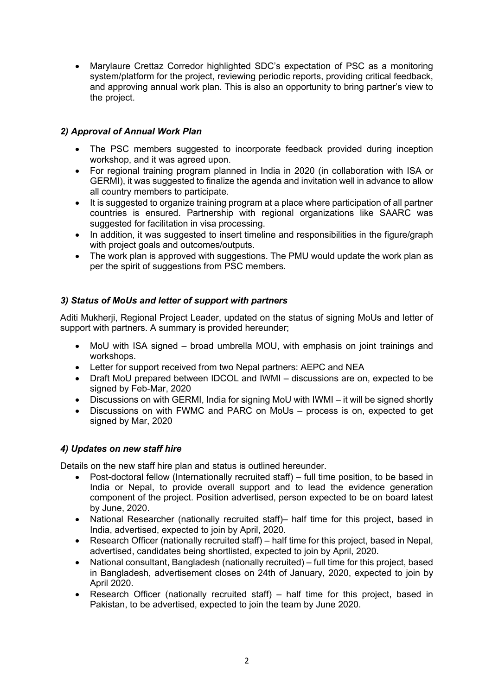• Marylaure Crettaz Corredor highlighted SDC's expectation of PSC as a monitoring system/platform for the project, reviewing periodic reports, providing critical feedback, and approving annual work plan. This is also an opportunity to bring partner's view to the project.

# *2) Approval of Annual Work Plan*

- The PSC members suggested to incorporate feedback provided during inception workshop, and it was agreed upon.
- For regional training program planned in India in 2020 (in collaboration with ISA or GERMI), it was suggested to finalize the agenda and invitation well in advance to allow all country members to participate.
- It is suggested to organize training program at a place where participation of all partner countries is ensured. Partnership with regional organizations like SAARC was suggested for facilitation in visa processing.
- In addition, it was suggested to insert timeline and responsibilities in the figure/graph with project goals and outcomes/outputs.
- The work plan is approved with suggestions. The PMU would update the work plan as per the spirit of suggestions from PSC members.

# *3) Status of MoUs and letter of support with partners*

Aditi Mukherji, Regional Project Leader, updated on the status of signing MoUs and letter of support with partners. A summary is provided hereunder;

- MoU with ISA signed broad umbrella MOU, with emphasis on joint trainings and workshops.
- Letter for support received from two Nepal partners: AEPC and NEA
- Draft MoU prepared between IDCOL and IWMI discussions are on, expected to be signed by Feb-Mar, 2020
- Discussions on with GERMI, India for signing MoU with IWMI it will be signed shortly
- Discussions on with FWMC and PARC on MoUs process is on, expected to get signed by Mar, 2020

# *4) Updates on new staff hire*

Details on the new staff hire plan and status is outlined hereunder.

- Post-doctoral fellow (Internationally recruited staff) full time position, to be based in India or Nepal, to provide overall support and to lead the evidence generation component of the project. Position advertised, person expected to be on board latest by June, 2020.
- National Researcher (nationally recruited staff)– half time for this project, based in India, advertised, expected to join by April, 2020.
- Research Officer (nationally recruited staff) half time for this project, based in Nepal, advertised, candidates being shortlisted, expected to join by April, 2020.
- National consultant, Bangladesh (nationally recruited) full time for this project, based in Bangladesh, advertisement closes on 24th of January, 2020, expected to join by April 2020.
- Research Officer (nationally recruited staff) half time for this project, based in Pakistan, to be advertised, expected to join the team by June 2020.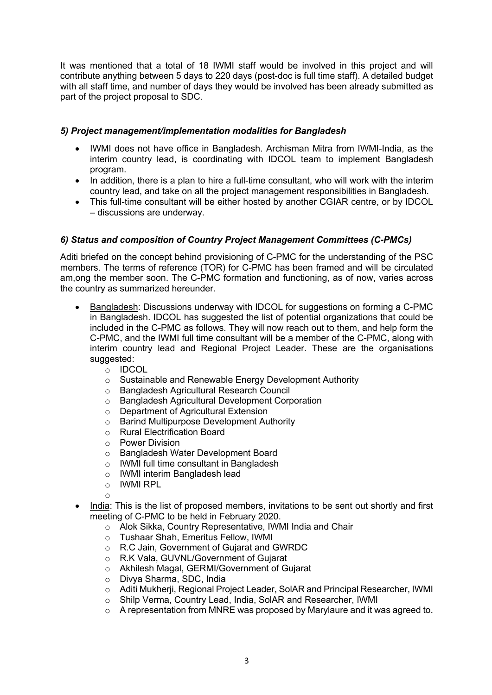It was mentioned that a total of 18 IWMI staff would be involved in this project and will contribute anything between 5 days to 220 days (post-doc is full time staff). A detailed budget with all staff time, and number of days they would be involved has been already submitted as part of the project proposal to SDC.

#### *5) Project management/implementation modalities for Bangladesh*

- IWMI does not have office in Bangladesh. Archisman Mitra from IWMI-India, as the interim country lead, is coordinating with IDCOL team to implement Bangladesh program.
- In addition, there is a plan to hire a full-time consultant, who will work with the interim country lead, and take on all the project management responsibilities in Bangladesh.
- This full-time consultant will be either hosted by another CGIAR centre, or by IDCOL – discussions are underway.

### *6) Status and composition of Country Project Management Committees (C-PMCs)*

Aditi briefed on the concept behind provisioning of C-PMC for the understanding of the PSC members. The terms of reference (TOR) for C-PMC has been framed and will be circulated am,ong the member soon. The C-PMC formation and functioning, as of now, varies across the country as summarized hereunder.

- Bangladesh: Discussions underway with IDCOL for suggestions on forming a C-PMC in Bangladesh. IDCOL has suggested the list of potential organizations that could be included in the C-PMC as follows. They will now reach out to them, and help form the C-PMC, and the IWMI full time consultant will be a member of the C-PMC, along with interim country lead and Regional Project Leader. These are the organisations suggested:
	- o IDCOL
	- o Sustainable and Renewable Energy Development Authority
	- o Bangladesh Agricultural Research Council
	- o Bangladesh Agricultural Development Corporation
	- o Department of Agricultural Extension
	- o Barind Multipurpose Development Authority
	- o Rural Electrification Board
	- o Power Division
	- o Bangladesh Water Development Board
	- o IWMI full time consultant in Bangladesh
	- o IWMI interim Bangladesh lead
	- o IWMI RPL
	- o
- India: This is the list of proposed members, invitations to be sent out shortly and first meeting of C-PMC to be held in February 2020.
	- o Alok Sikka, Country Representative, IWMI India and Chair
	- o Tushaar Shah, Emeritus Fellow, IWMI
	- o R.C Jain, Government of Gujarat and GWRDC
	- o R.K Vala, GUVNL/Government of Gujarat
	- o Akhilesh Magal, GERMI/Government of Gujarat
	- o Divya Sharma, SDC, India
	- o Aditi Mukherji, Regional Project Leader, SolAR and Principal Researcher, IWMI
	- o Shilp Verma, Country Lead, India, SolAR and Researcher, IWMI
	- $\circ$  A representation from MNRE was proposed by Marylaure and it was agreed to.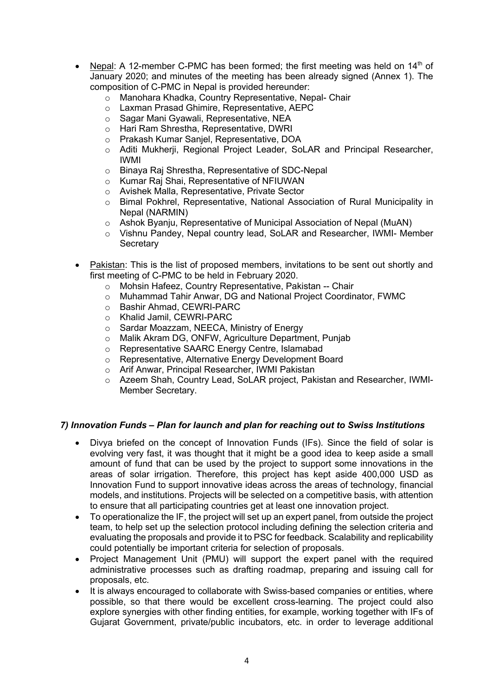- Nepal: A 12-member C-PMC has been formed; the first meeting was held on 14<sup>th</sup> of January 2020; and minutes of the meeting has been already signed (Annex 1). The composition of C-PMC in Nepal is provided hereunder:
	- o Manohara Khadka, Country Representative, Nepal- Chair
	- o Laxman Prasad Ghimire, Representative, AEPC
	- o Sagar Mani Gyawali, Representative, NEA
	- o Hari Ram Shrestha, Representative, DWRI
	- o Prakash Kumar Sanjel, Representative, DOA
	- o Aditi Mukherji, Regional Project Leader, SoLAR and Principal Researcher, IWMI
	- o Binaya Raj Shrestha, Representative of SDC-Nepal
	- o Kumar Raj Shai, Representative of NFIUWAN
	- o Avishek Malla, Representative, Private Sector
	- o Bimal Pokhrel, Representative, National Association of Rural Municipality in Nepal (NARMIN)
	- o Ashok Byanju, Representative of Municipal Association of Nepal (MuAN)
	- o Vishnu Pandey, Nepal country lead, SoLAR and Researcher, IWMI- Member **Secretary**
- Pakistan: This is the list of proposed members, invitations to be sent out shortly and first meeting of C-PMC to be held in February 2020.
	- o Mohsin Hafeez, Country Representative, Pakistan -- Chair
	- o Muhammad Tahir Anwar, DG and National Project Coordinator, FWMC
	- o Bashir Ahmad, CEWRI-PARC
	- o Khalid Jamil, CEWRI-PARC
	- o Sardar Moazzam, NEECA, Ministry of Energy
	- o Malik Akram DG, ONFW, Agriculture Department, Punjab
	- o Representative SAARC Energy Centre, Islamabad
	- o Representative, Alternative Energy Development Board
	- o Arif Anwar, Principal Researcher, IWMI Pakistan
	- o Azeem Shah, Country Lead, SoLAR project, Pakistan and Researcher, IWMI-Member Secretary.

#### *7) Innovation Funds – Plan for launch and plan for reaching out to Swiss Institutions*

- Divya briefed on the concept of Innovation Funds (IFs). Since the field of solar is evolving very fast, it was thought that it might be a good idea to keep aside a small amount of fund that can be used by the project to support some innovations in the areas of solar irrigation. Therefore, this project has kept aside 400,000 USD as Innovation Fund to support innovative ideas across the areas of technology, financial models, and institutions. Projects will be selected on a competitive basis, with attention to ensure that all participating countries get at least one innovation project.
- To operationalize the IF, the project will set up an expert panel, from outside the project team, to help set up the selection protocol including defining the selection criteria and evaluating the proposals and provide it to PSC for feedback. Scalability and replicability could potentially be important criteria for selection of proposals.
- Project Management Unit (PMU) will support the expert panel with the required administrative processes such as drafting roadmap, preparing and issuing call for proposals, etc.
- It is always encouraged to collaborate with Swiss-based companies or entities, where possible, so that there would be excellent cross-learning. The project could also explore synergies with other finding entities, for example, working together with IFs of Gujarat Government, private/public incubators, etc. in order to leverage additional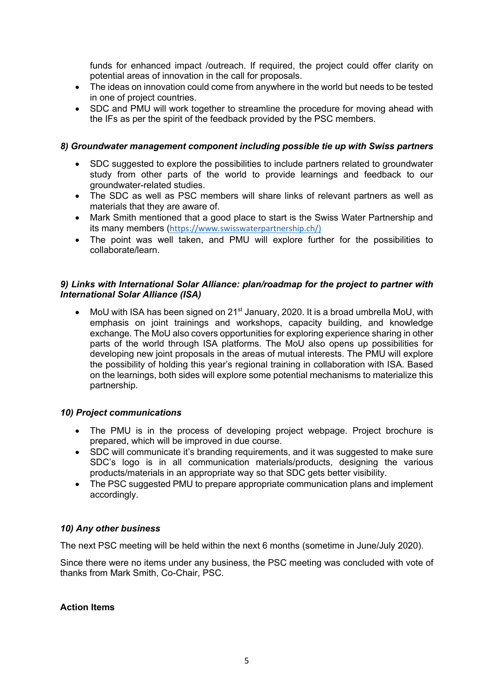funds for enhanced impact /outreach. If required, the project could offer clarity on potential areas of innovation in the call for proposals.

- The ideas on innovation could come from anywhere in the world but needs to be tested in one of project countries.
- SDC and PMU will work together to streamline the procedure for moving ahead with the IFs as per the spirit of the feedback provided by the PSC members.

#### *8) Groundwater management component including possible tie up with Swiss partners*

- SDC suggested to explore the possibilities to include partners related to groundwater study from other parts of the world to provide learnings and feedback to our groundwater-related studies.
- The SDC as well as PSC members will share links of relevant partners as well as materials that they are aware of.
- Mark Smith mentioned that a good place to start is the Swiss Water Partnership and its many members (https://www.swisswaterpartnership.ch/)
- The point was well taken, and PMU will explore further for the possibilities to collaborate/learn.

#### *9) Links with International Solar Alliance: plan/roadmap for the project to partner with International Solar Alliance (ISA)*

MoU with ISA has been signed on 21<sup>st</sup> January, 2020. It is a broad umbrella MoU, with emphasis on joint trainings and workshops, capacity building, and knowledge exchange. The MoU also covers opportunities for exploring experience sharing in other parts of the world through ISA platforms. The MoU also opens up possibilities for developing new joint proposals in the areas of mutual interests. The PMU will explore the possibility of holding this year's regional training in collaboration with ISA. Based on the learnings, both sides will explore some potential mechanisms to materialize this partnership.

#### *10) Project communications*

- The PMU is in the process of developing project webpage. Project brochure is prepared, which will be improved in due course.
- SDC will communicate it's branding requirements, and it was suggested to make sure SDC's logo is in all communication materials/products, designing the various products/materials in an appropriate way so that SDC gets better visibility.
- The PSC suggested PMU to prepare appropriate communication plans and implement accordingly.

#### *10) Any other business*

The next PSC meeting will be held within the next 6 months (sometime in June/July 2020).

Since there were no items under any business, the PSC meeting was concluded with vote of thanks from Mark Smith, Co-Chair, PSC.

#### **Action Items**